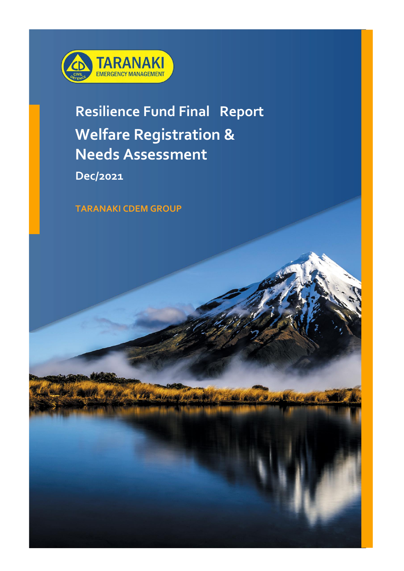

### **Resilience Fund Final Report Welfare Registration & Needs Assessment**

**Dec/2021**

**TARANAKI CDEM GROUP**

**Ergifa** 

Court & Jour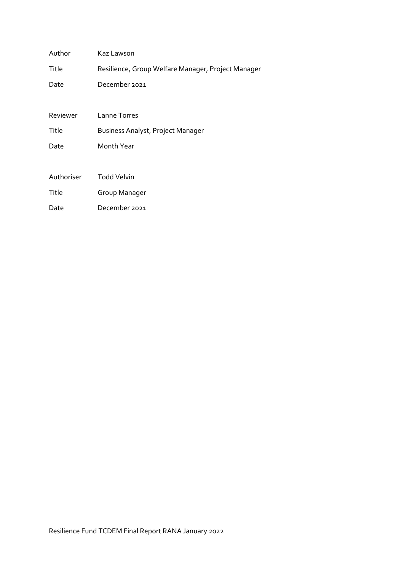| Author     | Kaz Lawson                                         |  |  |  |  |  |
|------------|----------------------------------------------------|--|--|--|--|--|
| Title      | Resilience, Group Welfare Manager, Project Manager |  |  |  |  |  |
| Date       | December 2021                                      |  |  |  |  |  |
|            |                                                    |  |  |  |  |  |
| Reviewer   | Lanne Torres                                       |  |  |  |  |  |
| Title      | Business Analyst, Project Manager                  |  |  |  |  |  |
| Date       | Month Year                                         |  |  |  |  |  |
|            |                                                    |  |  |  |  |  |
| Authoriser | <b>Todd Velvin</b>                                 |  |  |  |  |  |
| Title      | Group Manager                                      |  |  |  |  |  |
| Date       | December 2021                                      |  |  |  |  |  |
|            |                                                    |  |  |  |  |  |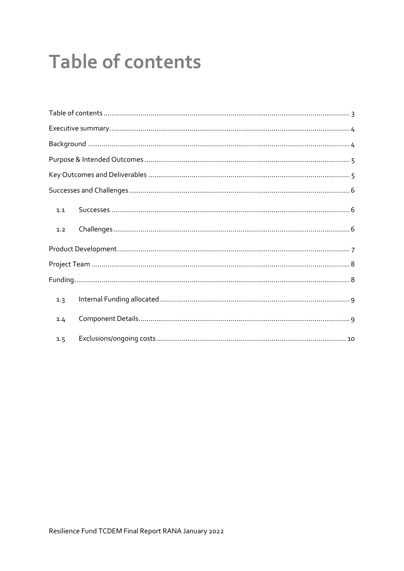# <span id="page-2-0"></span>**Table of contents**

| 1.1 |  |  |  |
|-----|--|--|--|
| 1.2 |  |  |  |
|     |  |  |  |
|     |  |  |  |
|     |  |  |  |
| 1.3 |  |  |  |
| 1.4 |  |  |  |
| 1.5 |  |  |  |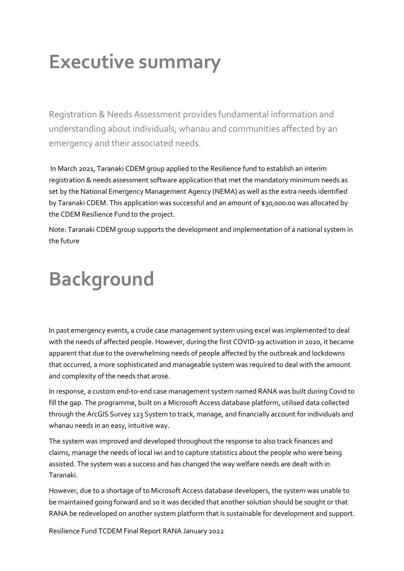## <span id="page-3-0"></span>**Executive summary**

Registration & Needs Assessment provides fundamental information and understanding about individuals, whanau and communities affected by an emergency and their associated needs.

In March 2021, Taranaki CDEM group applied to the Resilience fund to establish an interim registration & needs assessment software application that met the mandatory minimum needs as set by the National Emergency Management Agency (NEMA) as well as the extra needs identified by Taranaki CDEM. This application was successful and an amount of \$30,000.00 was allocated by the CDEM Resilience Fund to the project.

Note: Taranaki CDEM group supports the development and implementation of a national system in the future

# <span id="page-3-1"></span>**Background**

In past emergency events, a crude case management system using excel was implemented to deal with the needs of affected people. However, during the first COVID-19 activation in 2020, it became apparent that due to the overwhelming needs of people affected by the outbreak and lockdowns that occurred, a more sophisticated and manageable system was required to deal with the amount and complexity of the needs that arose.

In response, a custom end-to-end case management system named RANA was built during Covid to fill the gap. The programme, built on a Microsoft Access database platform, utilised data collected through the ArcGIS Survey 123 System to track, manage, and financially account for individuals and whanau needs in an easy, intuitive way.

The system was improved and developed throughout the response to also track finances and claims, manage the needs of local iwi and to capture statistics about the people who were being assisted. The system was a success and has changed the way welfare needs are dealt with in Taranaki.

However, due to a shortage of to Microsoft Access database developers, the system was unable to be maintained going forward and so it was decided that another solution should be sought or that RANA be redeveloped on another system platform that is sustainable for development and support.

Resilience Fund TCDEM Final Report RANA January 2022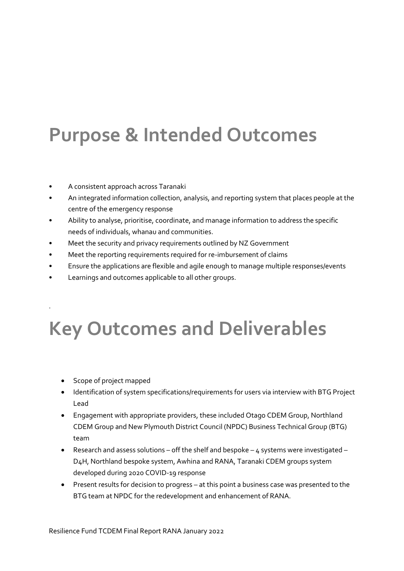## <span id="page-4-0"></span>**Purpose & Intended Outcomes**

- A consistent approach across Taranaki
- An integrated information collection, analysis, and reporting system that places people at the centre of the emergency response
- Ability to analyse, prioritise, coordinate, and manage information to address the specific needs of individuals, whanau and communities.
- Meet the security and privacy requirements outlined by NZ Government
- Meet the reporting requirements required for re-imbursement of claims
- Ensure the applications are flexible and agile enough to manage multiple responses/events
- Learnings and outcomes applicable to all other groups.

## <span id="page-4-1"></span>**Key Outcomes and Deliverables**

• Scope of project mapped

.

- Identification of system specifications/requirements for users via interview with BTG Project Lead
- Engagement with appropriate providers, these included Otago CDEM Group, Northland CDEM Group and New Plymouth District Council (NPDC) Business Technical Group (BTG) team
- Research and assess solutions off the shelf and bespoke  $4$  systems were investigated D4H, Northland bespoke system, Awhina and RANA, Taranaki CDEM groups system developed during 2020 COVID-19 response
- Present results for decision to progress at this point a business case was presented to the BTG team at NPDC for the redevelopment and enhancement of RANA.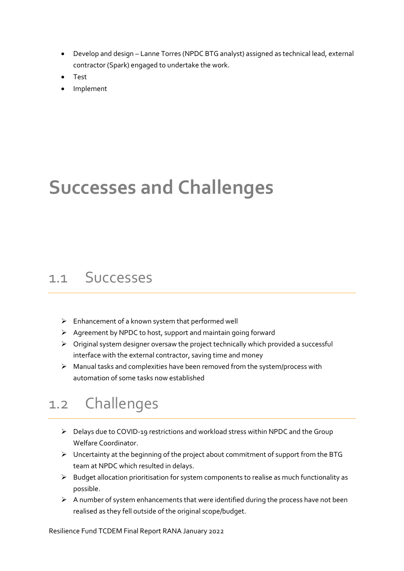- Develop and design Lanne Torres (NPDC BTG analyst) assigned as technical lead, external contractor (Spark) engaged to undertake the work.
- Test
- Implement

### <span id="page-5-0"></span>**Successes and Challenges**

### <span id="page-5-1"></span>1.1 Successes

- $\triangleright$  Enhancement of a known system that performed well
- ➢ Agreement by NPDC to host, support and maintain going forward
- $\triangleright$  Original system designer oversaw the project technically which provided a successful interface with the external contractor, saving time and money
- ➢ Manual tasks and complexities have been removed from the system/process with automation of some tasks now established

### <span id="page-5-2"></span>1.2 Challenges

- $\triangleright$  Delays due to COVID-19 restrictions and workload stress within NPDC and the Group Welfare Coordinator.
- ➢ Uncertainty at the beginning of the project about commitment of support from the BTG team at NPDC which resulted in delays.
- ➢ Budget allocation prioritisation for system components to realise as much functionality as possible.
- ➢ A number of system enhancements that were identified during the process have not been realised as they fell outside of the original scope/budget.

Resilience Fund TCDEM Final Report RANA January 2022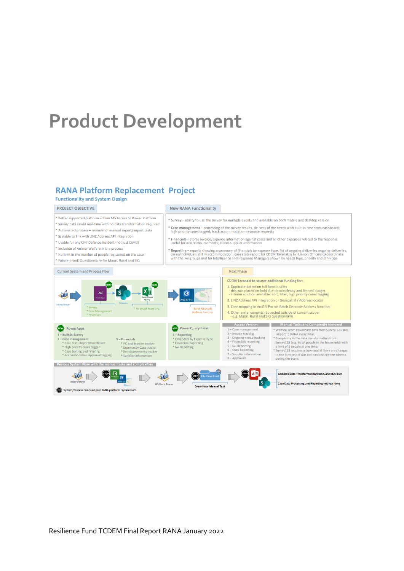### <span id="page-6-0"></span>**Product Development**

### **RANA Platform Replacement Project**

\* Retter supported platform – from MS Access to Power Platform

\* Automated process - removal of manual export/import tasks \* Scalable to link with LINZ Address API integration

\* Usable for any Civil Defence incident (not just Covid) \* Inclusion of Animal Welfare in the process

\* No limit in the number of people registered on the case \* Future-proof: Questionnaire for Maori, Rural and SIQ

\* Survey data saved real-time with no data transformation required

### Functionality and System Design

#### PROJECT OBJECTIVE

#### **New RANA Functionality**

\* Survey - ability to use the survey for multiple events and available on both mobile and desktop version

- \* Case management processing of the survey results, delivery of the needs with built-in case stats dashboard;<br>high priority cases tagged; track accommodation resource requests
- \* Financials stores invoice/expense information against cases and all other expenses related to the response<br>useful for any reimbursements; stores supplier information

\* Reporting – reports showing a summary of financials by expense type, list of ongoing deliveries ongoing deliveries,<br>cases/individuals still in accommodation, case stats report for CDEM Taranaki's Iwi Liaison Officers to

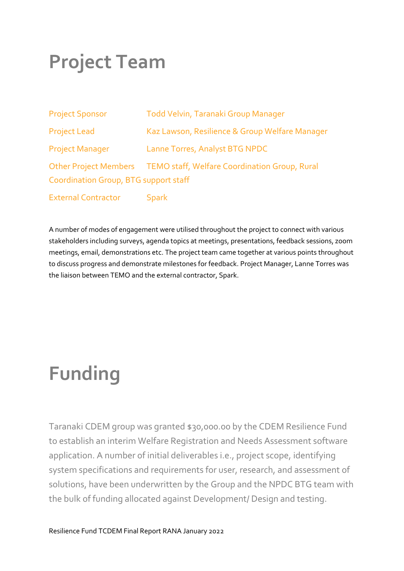## <span id="page-7-0"></span>**Project Team**

| <b>Project Sponsor</b>                                                                                       | Todd Velvin, Taranaki Group Manager            |  |  |  |  |
|--------------------------------------------------------------------------------------------------------------|------------------------------------------------|--|--|--|--|
| <b>Project Lead</b>                                                                                          | Kaz Lawson, Resilience & Group Welfare Manager |  |  |  |  |
| <b>Project Manager</b>                                                                                       | Lanne Torres, Analyst BTG NPDC                 |  |  |  |  |
| Other Project Members TEMO staff, Welfare Coordination Group, Rural<br>Coordination Group, BTG support staff |                                                |  |  |  |  |
| <b>External Contractor</b>                                                                                   | <b>Spark</b>                                   |  |  |  |  |

A number of modes of engagement were utilised throughout the project to connect with various stakeholders including surveys, agenda topics at meetings, presentations, feedback sessions, zoom meetings, email, demonstrations etc. The project team came together at various points throughout to discuss progress and demonstrate milestones for feedback. Project Manager, Lanne Torres was the liaison between TEMO and the external contractor, Spark.

# <span id="page-7-1"></span>**Funding**

Taranaki CDEM group was granted \$30,000.00 by the CDEM Resilience Fund to establish an interim Welfare Registration and Needs Assessment software application. A number of initial deliverables i.e., project scope, identifying system specifications and requirements for user, research, and assessment of solutions, have been underwritten by the Group and the NPDC BTG team with the bulk of funding allocated against Development/ Design and testing.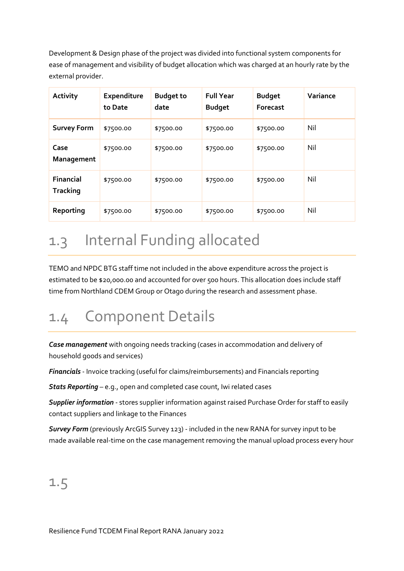Development & Design phase of the project was divided into functional system components for ease of management and visibility of budget allocation which was charged at an hourly rate by the external provider.

| <b>Activity</b>                     | <b>Expenditure</b><br>to Date | <b>Budget to</b><br>date | <b>Full Year</b><br><b>Budget</b> | <b>Budget</b><br>Forecast | Variance |
|-------------------------------------|-------------------------------|--------------------------|-----------------------------------|---------------------------|----------|
| <b>Survey Form</b>                  | \$7500.00                     | \$7500.00                | \$7500.00                         | \$7500.00                 | Nil      |
| Case<br>Management                  | \$7500.00                     | \$7500.00                | \$7500.00                         | \$7500.00                 | Nil      |
| <b>Financial</b><br><b>Tracking</b> | \$7500.00                     | \$7500.00                | \$7500.00                         | \$7500.00                 | Nil      |
| Reporting                           | \$7500.00                     | \$7500.00                | \$7500.00                         | \$7500.00                 | Nil      |

### <span id="page-8-0"></span>1.3 Internal Funding allocated

TEMO and NPDC BTG staff time not included in the above expenditure across the project is estimated to be \$20,000.00 and accounted for over 500 hours. This allocation does include staff time from Northland CDEM Group or Otago during the research and assessment phase.

### <span id="page-8-1"></span>1.4 Component Details

*Case management* with ongoing needs tracking (cases in accommodation and delivery of household goods and services)

*Financials* - Invoice tracking (useful for claims/reimbursements) and Financials reporting

*Stats Reporting* – e.g., open and completed case count, Iwi related cases

*Supplier information* - stores supplier information against raised Purchase Order for staff to easily contact suppliers and linkage to the Finances

*Survey Form* (previously ArcGIS Survey 123) - included in the new RANA for survey input to be made available real-time on the case management removing the manual upload process every hour

### <span id="page-8-2"></span>1.5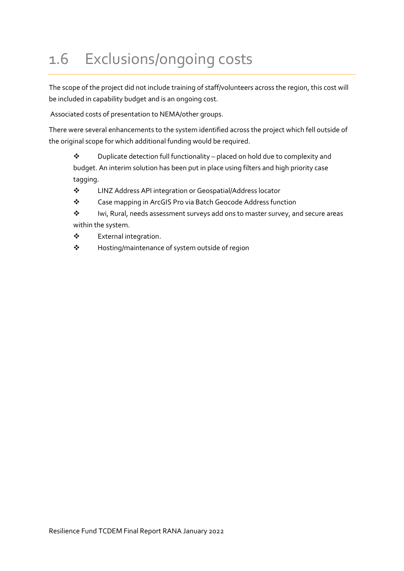### 1.6 Exclusions/ongoing costs

The scope of the project did not include training of staff/volunteers across the region, this cost will be included in capability budget and is an ongoing cost.

Associated costs of presentation to NEMA/other groups.

There were several enhancements to the system identified across the project which fell outside of the original scope for which additional funding would be required.

❖ Duplicate detection full functionality – placed on hold due to complexity and budget. An interim solution has been put in place using filters and high priority case tagging.

- ❖ LINZ Address API integration or Geospatial/Address locator
- ❖ Case mapping in ArcGIS Pro via Batch Geocode Address function
- ❖ Iwi, Rural, needs assessment surveys add ons to master survey, and secure areas within the system.
- ❖ External integration.
- ❖ Hosting/maintenance of system outside of region